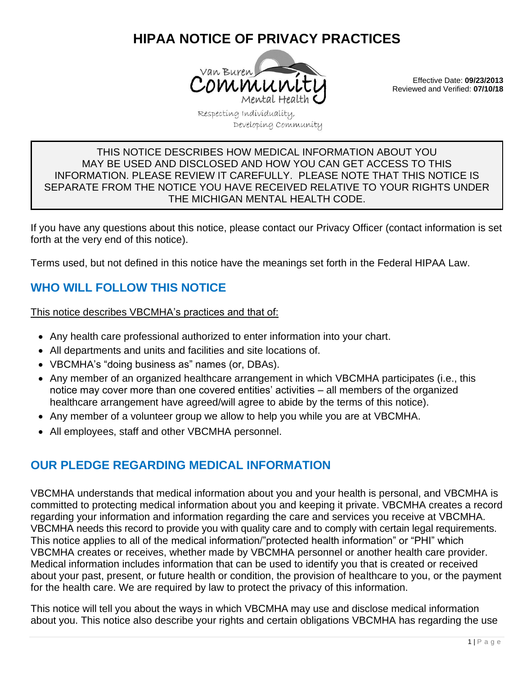# **HIPAA NOTICE OF PRIVACY PRACTICES**



Effective Date: **09/23/2013** Reviewed and Verified: **07/10/18**

Respecting Individuality, Developing Community

#### THIS NOTICE DESCRIBES HOW MEDICAL INFORMATION ABOUT YOU MAY BE USED AND DISCLOSED AND HOW YOU CAN GET ACCESS TO THIS INFORMATION. PLEASE REVIEW IT CAREFULLY. PLEASE NOTE THAT THIS NOTICE IS SEPARATE FROM THE NOTICE YOU HAVE RECEIVED RELATIVE TO YOUR RIGHTS UNDER THE MICHIGAN MENTAL HEALTH CODE.

If you have any questions about this notice, please contact our Privacy Officer (contact information is set forth at the very end of this notice).

Terms used, but not defined in this notice have the meanings set forth in the Federal HIPAA Law.

# **WHO WILL FOLLOW THIS NOTICE**

This notice describes VBCMHA's practices and that of:

- Any health care professional authorized to enter information into your chart.
- All departments and units and facilities and site locations of.
- VBCMHA's "doing business as" names (or, DBAs).
- Any member of an organized healthcare arrangement in which VBCMHA participates (i.e., this notice may cover more than one covered entities' activities – all members of the organized healthcare arrangement have agreed/will agree to abide by the terms of this notice).
- Any member of a volunteer group we allow to help you while you are at VBCMHA.
- All employees, staff and other VBCMHA personnel.

# **OUR PLEDGE REGARDING MEDICAL INFORMATION**

VBCMHA understands that medical information about you and your health is personal, and VBCMHA is committed to protecting medical information about you and keeping it private. VBCMHA creates a record regarding your information and information regarding the care and services you receive at VBCMHA. VBCMHA needs this record to provide you with quality care and to comply with certain legal requirements. This notice applies to all of the medical information/"protected health information" or "PHI" which VBCMHA creates or receives, whether made by VBCMHA personnel or another health care provider. Medical information includes information that can be used to identify you that is created or received about your past, present, or future health or condition, the provision of healthcare to you, or the payment for the health care. We are required by law to protect the privacy of this information.

This notice will tell you about the ways in which VBCMHA may use and disclose medical information about you. This notice also describe your rights and certain obligations VBCMHA has regarding the use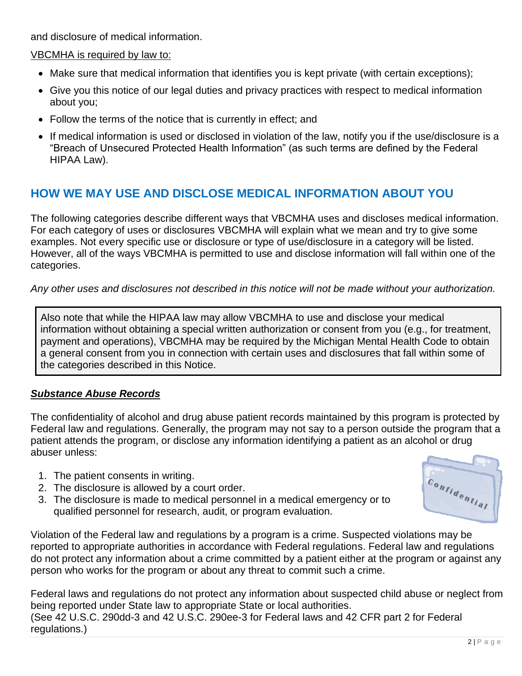and disclosure of medical information.

VBCMHA is required by law to:

- Make sure that medical information that identifies you is kept private (with certain exceptions);
- Give you this notice of our legal duties and privacy practices with respect to medical information about you;
- Follow the terms of the notice that is currently in effect; and
- If medical information is used or disclosed in violation of the law, notify you if the use/disclosure is a "Breach of Unsecured Protected Health Information" (as such terms are defined by the Federal HIPAA Law).

# **HOW WE MAY USE AND DISCLOSE MEDICAL INFORMATION ABOUT YOU**

The following categories describe different ways that VBCMHA uses and discloses medical information. For each category of uses or disclosures VBCMHA will explain what we mean and try to give some examples. Not every specific use or disclosure or type of use/disclosure in a category will be listed. However, all of the ways VBCMHA is permitted to use and disclose information will fall within one of the categories.

*Any other uses and disclosures not described in this notice will not be made without your authorization.*

Also note that while the HIPAA law may allow VBCMHA to use and disclose your medical information without obtaining a special written authorization or consent from you (e.g., for treatment, payment and operations), VBCMHA may be required by the Michigan Mental Health Code to obtain a general consent from you in connection with certain uses and disclosures that fall within some of the categories described in this Notice.

## *Substance Abuse Records*

The confidentiality of alcohol and drug abuse patient records maintained by this program is protected by Federal law and regulations. Generally, the program may not say to a person outside the program that a patient attends the program, or disclose any information identifying a patient as an alcohol or drug abuser unless:

- 1. The patient consents in writing.
- 2. The disclosure is allowed by a court order.
- 3. The disclosure is made to medical personnel in a medical emergency or to qualified personnel for research, audit, or program evaluation.

Violation of the Federal law and regulations by a program is a crime. Suspected violations may be reported to appropriate authorities in accordance with Federal regulations. Federal law and regulations do not protect any information about a crime committed by a patient either at the program or against any person who works for the program or about any threat to commit such a crime.

Federal laws and regulations do not protect any information about suspected child abuse or neglect from being reported under State law to appropriate State or local authorities. (See 42 U.S.C. 290dd-3 and 42 U.S.C. 290ee-3 for Federal laws and 42 CFR part 2 for Federal regulations.)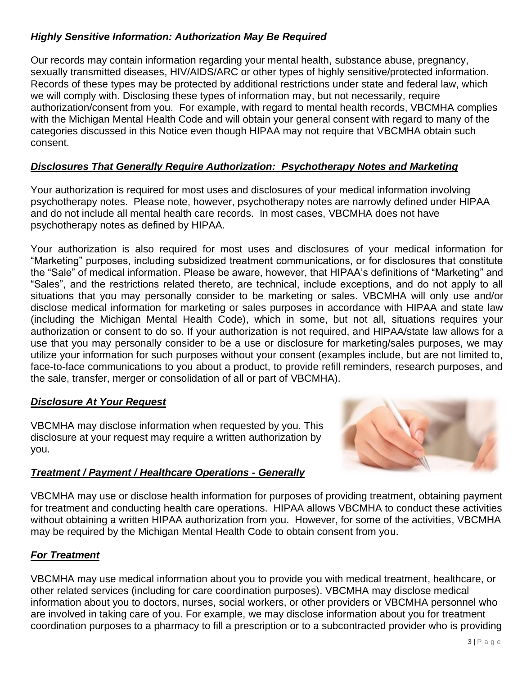## *Highly Sensitive Information: Authorization May Be Required*

Our records may contain information regarding your mental health, substance abuse, pregnancy, sexually transmitted diseases, HIV/AIDS/ARC or other types of highly sensitive/protected information. Records of these types may be protected by additional restrictions under state and federal law, which we will comply with. Disclosing these types of information may, but not necessarily, require authorization/consent from you. For example, with regard to mental health records, VBCMHA complies with the Michigan Mental Health Code and will obtain your general consent with regard to many of the categories discussed in this Notice even though HIPAA may not require that VBCMHA obtain such consent.

## *Disclosures That Generally Require Authorization: Psychotherapy Notes and Marketing*

Your authorization is required for most uses and disclosures of your medical information involving psychotherapy notes. Please note, however, psychotherapy notes are narrowly defined under HIPAA and do not include all mental health care records. In most cases, VBCMHA does not have psychotherapy notes as defined by HIPAA.

Your authorization is also required for most uses and disclosures of your medical information for "Marketing" purposes, including subsidized treatment communications, or for disclosures that constitute the "Sale" of medical information. Please be aware, however, that HIPAA's definitions of "Marketing" and "Sales", and the restrictions related thereto, are technical, include exceptions, and do not apply to all situations that you may personally consider to be marketing or sales. VBCMHA will only use and/or disclose medical information for marketing or sales purposes in accordance with HIPAA and state law (including the Michigan Mental Health Code), which in some, but not all, situations requires your authorization or consent to do so. If your authorization is not required, and HIPAA/state law allows for a use that you may personally consider to be a use or disclosure for marketing/sales purposes, we may utilize your information for such purposes without your consent (examples include, but are not limited to, face-to-face communications to you about a product, to provide refill reminders, research purposes, and the sale, transfer, merger or consolidation of all or part of VBCMHA).

#### *Disclosure At Your Request*

VBCMHA may disclose information when requested by you. This disclosure at your request may require a written authorization by you.

#### *Treatment / Payment / Healthcare Operations - Generally*



VBCMHA may use or disclose health information for purposes of providing treatment, obtaining payment for treatment and conducting health care operations. HIPAA allows VBCMHA to conduct these activities without obtaining a written HIPAA authorization from you. However, for some of the activities, VBCMHA may be required by the Michigan Mental Health Code to obtain consent from you.

## *For Treatment*

VBCMHA may use medical information about you to provide you with medical treatment, healthcare, or other related services (including for care coordination purposes). VBCMHA may disclose medical information about you to doctors, nurses, social workers, or other providers or VBCMHA personnel who are involved in taking care of you. For example, we may disclose information about you for treatment coordination purposes to a pharmacy to fill a prescription or to a subcontracted provider who is providing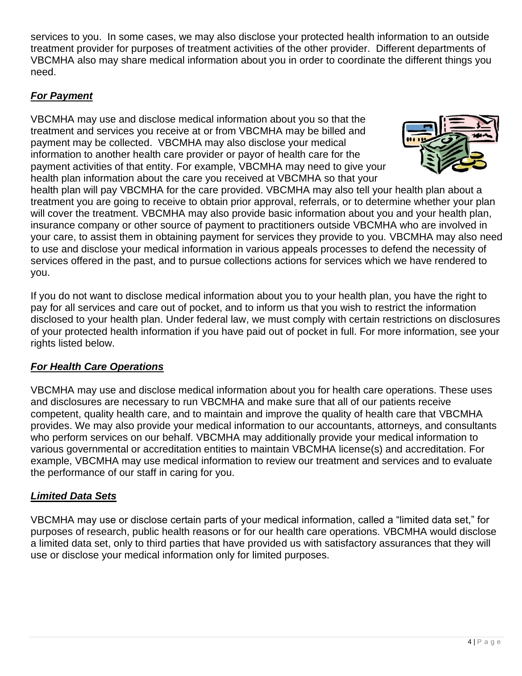services to you. In some cases, we may also disclose your protected health information to an outside treatment provider for purposes of treatment activities of the other provider. Different departments of VBCMHA also may share medical information about you in order to coordinate the different things you need.

## *For Payment*

VBCMHA may use and disclose medical information about you so that the treatment and services you receive at or from VBCMHA may be billed and payment may be collected. VBCMHA may also disclose your medical information to another health care provider or payor of health care for the payment activities of that entity. For example, VBCMHA may need to give your health plan information about the care you received at VBCMHA so that your



health plan will pay VBCMHA for the care provided. VBCMHA may also tell your health plan about a treatment you are going to receive to obtain prior approval, referrals, or to determine whether your plan will cover the treatment. VBCMHA may also provide basic information about you and your health plan, insurance company or other source of payment to practitioners outside VBCMHA who are involved in your care, to assist them in obtaining payment for services they provide to you. VBCMHA may also need to use and disclose your medical information in various appeals processes to defend the necessity of services offered in the past, and to pursue collections actions for services which we have rendered to you.

If you do not want to disclose medical information about you to your health plan, you have the right to pay for all services and care out of pocket, and to inform us that you wish to restrict the information disclosed to your health plan. Under federal law, we must comply with certain restrictions on disclosures of your protected health information if you have paid out of pocket in full. For more information, see your rights listed below.

## *For Health Care Operations*

VBCMHA may use and disclose medical information about you for health care operations. These uses and disclosures are necessary to run VBCMHA and make sure that all of our patients receive competent, quality health care, and to maintain and improve the quality of health care that VBCMHA provides. We may also provide your medical information to our accountants, attorneys, and consultants who perform services on our behalf. VBCMHA may additionally provide your medical information to various governmental or accreditation entities to maintain VBCMHA license(s) and accreditation. For example, VBCMHA may use medical information to review our treatment and services and to evaluate the performance of our staff in caring for you.

## *Limited Data Sets*

VBCMHA may use or disclose certain parts of your medical information, called a "limited data set," for purposes of research, public health reasons or for our health care operations. VBCMHA would disclose a limited data set, only to third parties that have provided us with satisfactory assurances that they will use or disclose your medical information only for limited purposes.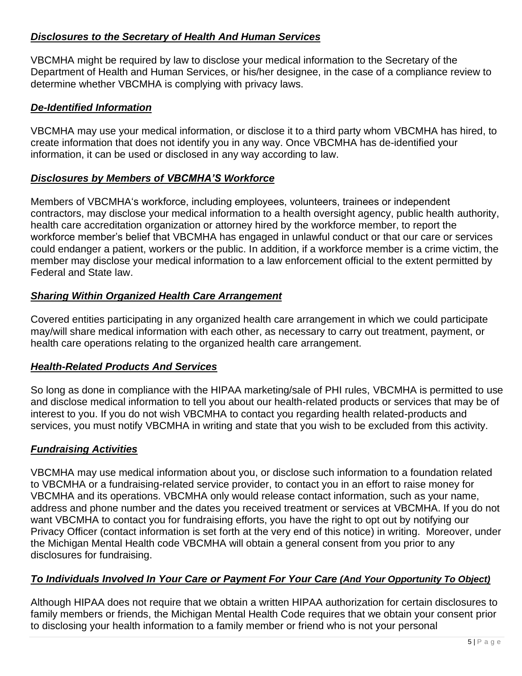## *Disclosures to the Secretary of Health And Human Services*

VBCMHA might be required by law to disclose your medical information to the Secretary of the Department of Health and Human Services, or his/her designee, in the case of a compliance review to determine whether VBCMHA is complying with privacy laws.

## *De-Identified Information*

VBCMHA may use your medical information, or disclose it to a third party whom VBCMHA has hired, to create information that does not identify you in any way. Once VBCMHA has de-identified your information, it can be used or disclosed in any way according to law.

## *Disclosures by Members of VBCMHA'S Workforce*

Members of VBCMHA's workforce, including employees, volunteers, trainees or independent contractors, may disclose your medical information to a health oversight agency, public health authority, health care accreditation organization or attorney hired by the workforce member, to report the workforce member's belief that VBCMHA has engaged in unlawful conduct or that our care or services could endanger a patient, workers or the public. In addition, if a workforce member is a crime victim, the member may disclose your medical information to a law enforcement official to the extent permitted by Federal and State law.

## *Sharing Within Organized Health Care Arrangement*

Covered entities participating in any organized health care arrangement in which we could participate may/will share medical information with each other, as necessary to carry out treatment, payment, or health care operations relating to the organized health care arrangement.

## *Health-Related Products And Services*

So long as done in compliance with the HIPAA marketing/sale of PHI rules, VBCMHA is permitted to use and disclose medical information to tell you about our health-related products or services that may be of interest to you. If you do not wish VBCMHA to contact you regarding health related-products and services, you must notify VBCMHA in writing and state that you wish to be excluded from this activity.

## *Fundraising Activities*

VBCMHA may use medical information about you, or disclose such information to a foundation related to VBCMHA or a fundraising-related service provider, to contact you in an effort to raise money for VBCMHA and its operations. VBCMHA only would release contact information, such as your name, address and phone number and the dates you received treatment or services at VBCMHA. If you do not want VBCMHA to contact you for fundraising efforts, you have the right to opt out by notifying our Privacy Officer (contact information is set forth at the very end of this notice) in writing. Moreover, under the Michigan Mental Health code VBCMHA will obtain a general consent from you prior to any disclosures for fundraising.

## *To Individuals Involved In Your Care or Payment For Your Care (And Your Opportunity To Object)*

Although HIPAA does not require that we obtain a written HIPAA authorization for certain disclosures to family members or friends, the Michigan Mental Health Code requires that we obtain your consent prior to disclosing your health information to a family member or friend who is not your personal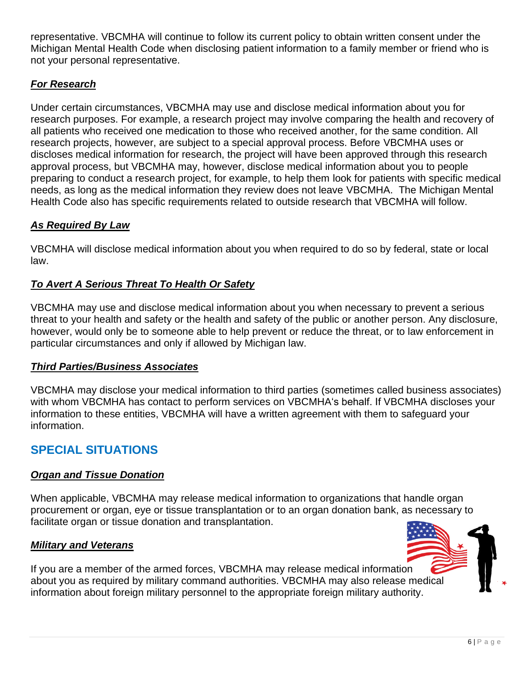representative. VBCMHA will continue to follow its current policy to obtain written consent under the Michigan Mental Health Code when disclosing patient information to a family member or friend who is not your personal representative.

## *For Research*

Under certain circumstances, VBCMHA may use and disclose medical information about you for research purposes. For example, a research project may involve comparing the health and recovery of all patients who received one medication to those who received another, for the same condition. All research projects, however, are subject to a special approval process. Before VBCMHA uses or discloses medical information for research, the project will have been approved through this research approval process, but VBCMHA may, however, disclose medical information about you to people preparing to conduct a research project, for example, to help them look for patients with specific medical needs, as long as the medical information they review does not leave VBCMHA. The Michigan Mental Health Code also has specific requirements related to outside research that VBCMHA will follow.

## *As Required By Law*

VBCMHA will disclose medical information about you when required to do so by federal, state or local law.

## *To Avert A Serious Threat To Health Or Safety*

VBCMHA may use and disclose medical information about you when necessary to prevent a serious threat to your health and safety or the health and safety of the public or another person. Any disclosure, however, would only be to someone able to help prevent or reduce the threat, or to law enforcement in particular circumstances and only if allowed by Michigan law.

## *Third Parties/Business Associates*

VBCMHA may disclose your medical information to third parties (sometimes called business associates) with whom VBCMHA has contact to perform services on VBCMHA's behalf. If VBCMHA discloses your information to these entities, VBCMHA will have a written agreement with them to safeguard your information.

# **SPECIAL SITUATIONS**

## *Organ and Tissue Donation*

When applicable, VBCMHA may release medical information to organizations that handle organ procurement or organ, eye or tissue transplantation or to an organ donation bank, as necessary to facilitate organ or tissue donation and transplantation.

#### *Military and Veterans*

If you are a member of the armed forces, VBCMHA may release medical information about you as required by military command authorities. VBCMHA may also releas[e medical](https://gallery.yopriceville.com/Free-Clipart-Pictures/4th-July-PNG/Transparent_USA_Flag_PNG_Clipart_Picture)  information about foreign military personnel to the appropriate foreign military authority.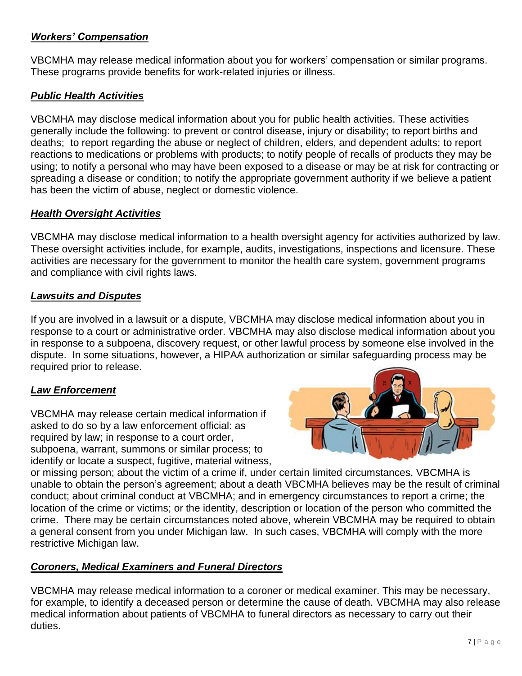## *Workers' Compensation*

VBCMHA may release medical information about you for workers' compensation or similar programs. These programs provide benefits for work-related injuries or illness.

## *Public Health Activities*

VBCMHA may disclose medical information about you for public health activities. These activities generally include the following: to prevent or control disease, injury or disability; to report births and deaths; to report regarding the abuse or neglect of children, elders, and dependent adults; to report reactions to medications or problems with products; to notify people of recalls of products they may be using; to notify a personal who may have been exposed to a disease or may be at risk for contracting or spreading a disease or condition; to notify the appropriate government authority if we believe a patient has been the victim of abuse, neglect or domestic violence.

## *Health Oversight Activities*

VBCMHA may disclose medical information to a health oversight agency for activities authorized by law. These oversight activities include, for example, audits, investigations, inspections and licensure. These activities are necessary for the government to monitor the health care system, government programs and compliance with civil rights laws.

#### *Lawsuits and Disputes*

If you are involved in a lawsuit or a dispute, VBCMHA may disclose medical information about you in response to a court or administrative order. VBCMHA may also disclose medical information about you in response to a subpoena, discovery request, or other lawful process by someone else involved in the dispute. In some situations, however, a HIPAA authorization or similar safeguarding process may be required prior to release.

## *Law Enforcement*

VBCMHA may release certain medical information if asked to do so by a law enforcement official: as required by law; in response to a court order, subpoena, warrant, summons or similar process; to identify or locate a suspect, fugitive, material witness,



or missing person; about the victim of a crime if, under certain limited circumstances, VBCMHA is unable to obtain the person's agreement; about a death VBCMHA believes may be the result of criminal conduct; about criminal conduct at VBCMHA; and in emergency circumstances to report a crime; the location of the crime or victims; or the identity, description or location of the person who committed the crime. There may be certain circumstances noted above, wherein VBCMHA may be required to obtain a general consent from you under Michigan law. In such cases, VBCMHA will comply with the more restrictive Michigan law.

## *Coroners, Medical Examiners and Funeral Directors*

VBCMHA may release medical information to a coroner or medical examiner. This may be necessary, for example, to identify a deceased person or determine the cause of death. VBCMHA may also release medical information about patients of VBCMHA to funeral directors as necessary to carry out their duties.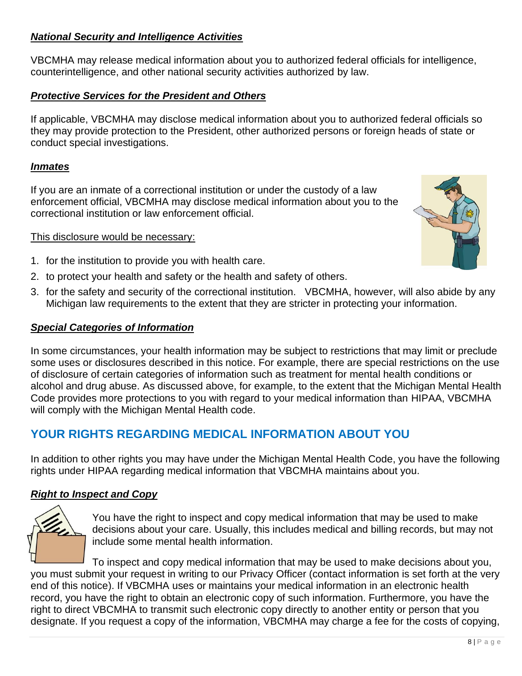## *National Security and Intelligence Activities*

VBCMHA may release medical information about you to authorized federal officials for intelligence, counterintelligence, and other national security activities authorized by law.

## *Protective Services for the President and Others*

If applicable, VBCMHA may disclose medical information about you to authorized federal officials so they may provide protection to the President, other authorized persons or foreign heads of state or conduct special investigations.

#### *Inmates*

If you are an inmate of a correctional institution or under the custody of a law enforcement official, VBCMHA may disclose medical information about you to the correctional institution or law enforcement official.

#### This disclosure would be necessary:

- 1. for the institution to provide you with health care.
- 2. to protect your health and safety or the health and safety of others.
- 3. for the safety and security of the correctional institution. VBCMHA, however, will also abide by any Michigan law requirements to the extent that they are stricter in protecting your information.

#### *Special Categories of Information*

In some circumstances, your health information may be subject to restrictions that may limit or preclude some uses or disclosures described in this notice. For example, there are special restrictions on the use of disclosure of certain categories of information such as treatment for mental health conditions or alcohol and drug abuse. As discussed above, for example, to the extent that the Michigan Mental Health Code provides more protections to you with regard to your medical information than HIPAA, VBCMHA will comply with the Michigan Mental Health code.

## **YOUR RIGHTS REGARDING MEDICAL INFORMATION ABOUT YOU**

In addition to other rights you may have under the Michigan Mental Health Code, you have the following rights under HIPAA regarding medical information that VBCMHA maintains about you.

## *Right to Inspect and Copy*



You have the right to inspect and copy medical information that may be used to make decisions about your care. Usually, this includes medical and billing records, but may not include some mental health information.

To inspect and copy medical information that may be used to make decisions about you, you must submit your request in writing to our Privacy Officer (contact information is set forth at the very end of this notice). If VBCMHA uses or maintains your medical information in an electronic health record, you have the right to obtain an electronic copy of such information. Furthermore, you have the right to direct VBCMHA to transmit such electronic copy directly to another entity or person that you designate. If you request a copy of the information, VBCMHA may charge a fee for the costs of copying,

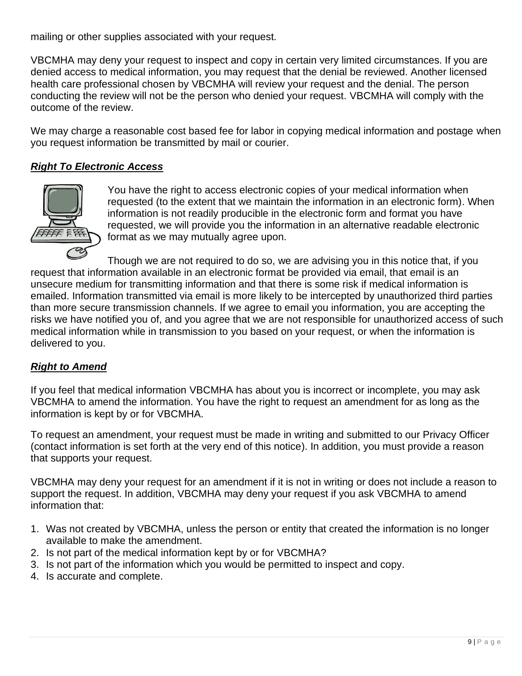mailing or other supplies associated with your request.

VBCMHA may deny your request to inspect and copy in certain very limited circumstances. If you are denied access to medical information, you may request that the denial be reviewed. Another licensed health care professional chosen by VBCMHA will review your request and the denial. The person conducting the review will not be the person who denied your request. VBCMHA will comply with the outcome of the review.

We may charge a reasonable cost based fee for labor in copying medical information and postage when you request information be transmitted by mail or courier.

## *Right To Electronic Access*



You have the right to access electronic copies of your medical information when requested (to the extent that we maintain the information in an electronic form). When information is not readily producible in the electronic form and format you have requested, we will provide you the information in an alternative readable electronic format as we may mutually agree upon.

Though we are not required to do so, we are advising you in this notice that, if you request that information available in an electronic format be provided via email, that email is an unsecure medium for transmitting information and that there is some risk if medical information is emailed. Information transmitted via email is more likely to be intercepted by unauthorized third parties than more secure transmission channels. If we agree to email you information, you are accepting the risks we have notified you of, and you agree that we are not responsible for unauthorized access of such medical information while in transmission to you based on your request, or when the information is delivered to you.

## *Right to Amend*

If you feel that medical information VBCMHA has about you is incorrect or incomplete, you may ask VBCMHA to amend the information. You have the right to request an amendment for as long as the information is kept by or for VBCMHA.

To request an amendment, your request must be made in writing and submitted to our Privacy Officer (contact information is set forth at the very end of this notice). In addition, you must provide a reason that supports your request.

VBCMHA may deny your request for an amendment if it is not in writing or does not include a reason to support the request. In addition, VBCMHA may deny your request if you ask VBCMHA to amend information that:

- 1. Was not created by VBCMHA, unless the person or entity that created the information is no longer available to make the amendment.
- 2. Is not part of the medical information kept by or for VBCMHA?
- 3. Is not part of the information which you would be permitted to inspect and copy.
- 4. Is accurate and complete.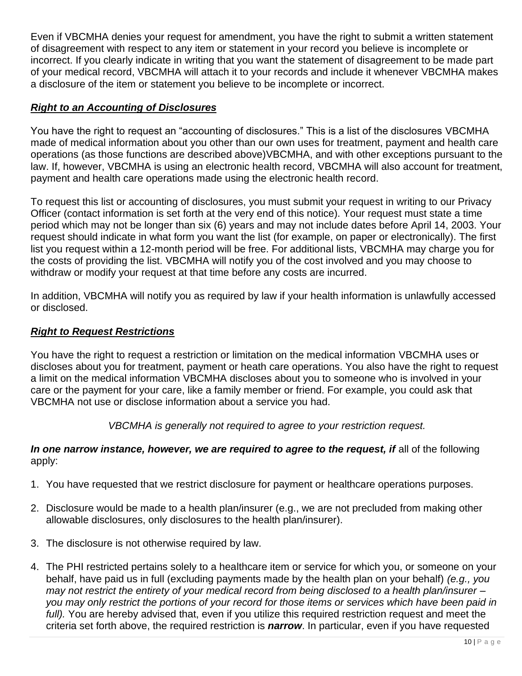Even if VBCMHA denies your request for amendment, you have the right to submit a written statement of disagreement with respect to any item or statement in your record you believe is incomplete or incorrect. If you clearly indicate in writing that you want the statement of disagreement to be made part of your medical record, VBCMHA will attach it to your records and include it whenever VBCMHA makes a disclosure of the item or statement you believe to be incomplete or incorrect.

#### *Right to an Accounting of Disclosures*

You have the right to request an "accounting of disclosures." This is a list of the disclosures VBCMHA made of medical information about you other than our own uses for treatment, payment and health care operations (as those functions are described above)VBCMHA, and with other exceptions pursuant to the law. If, however, VBCMHA is using an electronic health record, VBCMHA will also account for treatment, payment and health care operations made using the electronic health record.

To request this list or accounting of disclosures, you must submit your request in writing to our Privacy Officer (contact information is set forth at the very end of this notice). Your request must state a time period which may not be longer than six (6) years and may not include dates before April 14, 2003. Your request should indicate in what form you want the list (for example, on paper or electronically). The first list you request within a 12-month period will be free. For additional lists, VBCMHA may charge you for the costs of providing the list. VBCMHA will notify you of the cost involved and you may choose to withdraw or modify your request at that time before any costs are incurred.

In addition, VBCMHA will notify you as required by law if your health information is unlawfully accessed or disclosed.

#### *Right to Request Restrictions*

You have the right to request a restriction or limitation on the medical information VBCMHA uses or discloses about you for treatment, payment or heath care operations. You also have the right to request a limit on the medical information VBCMHA discloses about you to someone who is involved in your care or the payment for your care, like a family member or friend. For example, you could ask that VBCMHA not use or disclose information about a service you had.

*VBCMHA is generally not required to agree to your restriction request.*

#### In one narrow instance, however, we are required to agree to the request, if all of the following apply:

- 1. You have requested that we restrict disclosure for payment or healthcare operations purposes.
- 2. Disclosure would be made to a health plan/insurer (e.g., we are not precluded from making other allowable disclosures, only disclosures to the health plan/insurer).
- 3. The disclosure is not otherwise required by law.
- 4. The PHI restricted pertains solely to a healthcare item or service for which you, or someone on your behalf, have paid us in full (excluding payments made by the health plan on your behalf) *(e.g., you may not restrict the entirety of your medical record from being disclosed to a health plan/insurer – you may only restrict the portions of your record for those items or services which have been paid in full).* You are hereby advised that, even if you utilize this required restriction request and meet the criteria set forth above, the required restriction is *narrow*. In particular, even if you have requested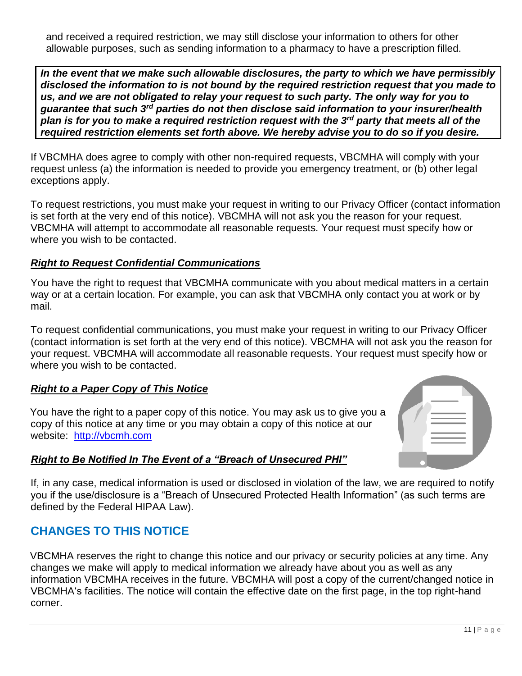and received a required restriction, we may still disclose your information to others for other allowable purposes, such as sending information to a pharmacy to have a prescription filled.

*In the event that we make such allowable disclosures, the party to which we have permissibly disclosed the information to is not bound by the required restriction request that you made to us, and we are not obligated to relay your request to such party. The only way for you to guarantee that such 3rd parties do not then disclose said information to your insurer/health plan is for you to make a required restriction request with the 3rd party that meets all of the required restriction elements set forth above. We hereby advise you to do so if you desire.* 

If VBCMHA does agree to comply with other non-required requests, VBCMHA will comply with your request unless (a) the information is needed to provide you emergency treatment, or (b) other legal exceptions apply.

To request restrictions, you must make your request in writing to our Privacy Officer (contact information is set forth at the very end of this notice). VBCMHA will not ask you the reason for your request. VBCMHA will attempt to accommodate all reasonable requests. Your request must specify how or where you wish to be contacted.

## *Right to Request Confidential Communications*

You have the right to request that VBCMHA communicate with you about medical matters in a certain way or at a certain location. For example, you can ask that VBCMHA only contact you at work or by mail.

To request confidential communications, you must make your request in writing to our Privacy Officer (contact information is set forth at the very end of this notice). VBCMHA will not ask you the reason for your request. VBCMHA will accommodate all reasonable requests. Your request must specify how or where you wish to be contacted.

## *Right to a Paper Copy of This Notice*

You have the right to a paper copy of this notice. You may ask us to give you a copy of this notice at any time or you may obtain a copy of this notice at our website: [http://vbcmh.com](http://vbcmh.com/)

## *Right to Be Notified In The Event of a "Breach of Unsecured PHI"*

If, in any case, medical information is used or disclosed in violation of the law, [we are required to notify](https://www.google.com/url?sa=i&rct=j&q=&esrc=s&source=images&cd=&cad=rja&uact=8&ved=2ahUKEwiHgey_oJXcAhURlawKHdcLD1YQjRx6BAgBEAU&url=https://www.dynafile.com/document-management-resources/general&psig=AOvVaw0uBE3FKT97A7Q6ZYeEpop6&ust=1531336813511572)  you if the use/disclosure is a "Breach of Unsecured Protected Health Information" (as such terms are defined by the Federal HIPAA Law).

## **CHANGES TO THIS NOTICE**

VBCMHA reserves the right to change this notice and our privacy or security policies at any time. Any changes we make will apply to medical information we already have about you as well as any information VBCMHA receives in the future. VBCMHA will post a copy of the current/changed notice in VBCMHA's facilities. The notice will contain the effective date on the first page, in the top right-hand corner.